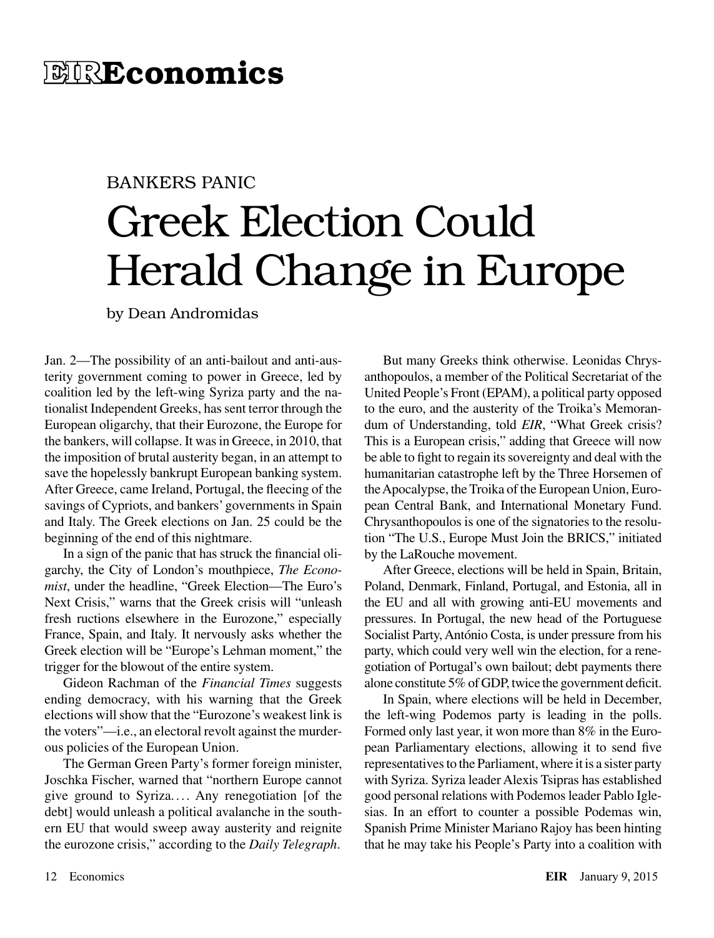## BANKERS PANIC Greek Election Could Herald Change in Europe

by Dean Andromidas

Jan. 2—The possibility of an anti-bailout and anti-austerity government coming to power in Greece, led by coalition led by the left-wing Syriza party and the nationalist Independent Greeks, has sent terror through the European oligarchy, that their Eurozone, the Europe for the bankers, will collapse. It was in Greece, in 2010, that the imposition of brutal austerity began, in an attempt to save the hopelessly bankrupt European banking system. After Greece, came Ireland, Portugal, the fleecing of the savings of Cypriots, and bankers' governments in Spain and Italy. The Greek elections on Jan. 25 could be the beginning of the end of this nightmare.

In a sign of the panic that has struck the financial oligarchy, the City of London's mouthpiece, *The Economist*, under the headline, "Greek Election—The Euro's Next Crisis," warns that the Greek crisis will "unleash fresh ructions elsewhere in the Eurozone," especially France, Spain, and Italy. It nervously asks whether the Greek election will be "Europe's Lehman moment," the trigger for the blowout of the entire system.

Gideon Rachman of the *Financial Times* suggests ending democracy, with his warning that the Greek elections will show that the "Eurozone's weakest link is the voters"—i.e., an electoral revolt against the murderous policies of the European Union.

The German Green Party's former foreign minister, Joschka Fischer, warned that "northern Europe cannot give ground to Syriza. ... Any renegotiation [of the debt] would unleash a political avalanche in the southern EU that would sweep away austerity and reignite the eurozone crisis," according to the *Daily Telegraph*.

But many Greeks think otherwise. Leonidas Chrysanthopoulos, a member of the Political Secretariat of the United People's Front (EPAM), a political party opposed to the euro, and the austerity of the Troika's Memorandum of Understanding, told *EIR*, "What Greek crisis? This is a European crisis," adding that Greece will now be able to fight to regain its sovereignty and deal with the humanitarian catastrophe left by the Three Horsemen of the Apocalypse, the Troika of the European Union, European Central Bank, and International Monetary Fund. Chrysanthopoulos is one of the signatories to the resolution "The U.S., Europe Must Join the BRICS," initiated by the LaRouche movement.

After Greece, elections will be held in Spain, Britain, Poland, Denmark, Finland, Portugal, and Estonia, all in the EU and all with growing anti-EU movements and pressures. In Portugal, the new head of the Portuguese Socialist Party, António Costa, is under pressure from his party, which could very well win the election, for a renegotiation of Portugal's own bailout; debt payments there alone constitute 5% of GDP, twice the government deficit.

In Spain, where elections will be held in December, the left-wing Podemos party is leading in the polls. Formed only last year, it won more than 8% in the European Parliamentary elections, allowing it to send five representatives to the Parliament, where it is a sister party with Syriza. Syriza leader Alexis Tsipras has established good personal relations with Podemos leader Pablo Iglesias. In an effort to counter a possible Podemas win, Spanish Prime Minister Mariano Rajoy has been hinting that he may take his People's Party into a coalition with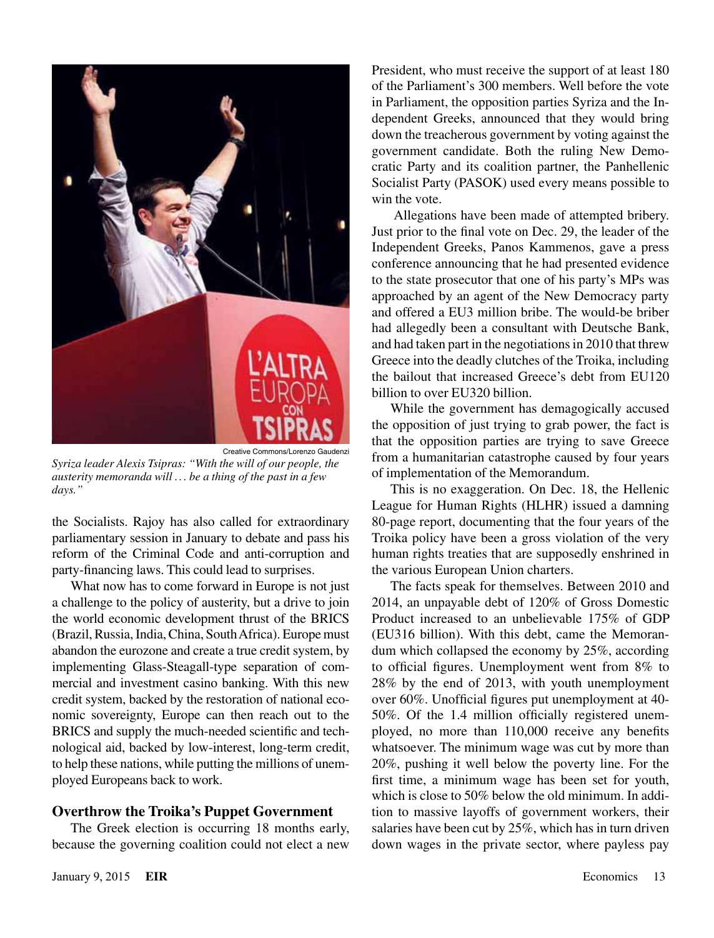

*Syriza leader Alexis Tsipras: "With the will of our people, the austerity memoranda will . .. be a thing of the past in a few days."*

the Socialists. Rajoy has also called for extraordinary parliamentary session in January to debate and pass his reform of the Criminal Code and anti-corruption and party-financing laws. This could lead to surprises.

What now has to come forward in Europe is not just a challenge to the policy of austerity, but a drive to join the world economic development thrust of the BRICS (Brazil, Russia, India, China, South Africa). Europe must abandon the eurozone and create a true credit system, by implementing Glass-Steagall-type separation of commercial and investment casino banking. With this new credit system, backed by the restoration of national economic sovereignty, Europe can then reach out to the BRICS and supply the much-needed scientific and technological aid, backed by low-interest, long-term credit, to help these nations, while putting the millions of unemployed Europeans back to work.

## **Overthrow the Troika's Puppet Government**

The Greek election is occurring 18 months early, because the governing coalition could not elect a new President, who must receive the support of at least 180 of the Parliament's 300 members. Well before the vote in Parliament, the opposition parties Syriza and the Independent Greeks, announced that they would bring down the treacherous government by voting against the government candidate. Both the ruling New Democratic Party and its coalition partner, the Panhellenic Socialist Party (PASOK) used every means possible to win the vote.

 Allegations have been made of attempted bribery. Just prior to the final vote on Dec. 29, the leader of the Independent Greeks, Panos Kammenos, gave a press conference announcing that he had presented evidence to the state prosecutor that one of his party's MPs was approached by an agent of the New Democracy party and offered a EU3 million bribe. The would-be briber had allegedly been a consultant with Deutsche Bank, and had taken part in the negotiations in 2010 that threw Greece into the deadly clutches of the Troika, including the bailout that increased Greece's debt from EU120 billion to over EU320 billion.

While the government has demagogically accused the opposition of just trying to grab power, the fact is that the opposition parties are trying to save Greece from a humanitarian catastrophe caused by four years of implementation of the Memorandum.

This is no exaggeration. On Dec. 18, the Hellenic League for Human Rights (HLHR) issued a damning 80-page report, documenting that the four years of the Troika policy have been a gross violation of the very human rights treaties that are supposedly enshrined in the various European Union charters.

The facts speak for themselves. Between 2010 and 2014, an unpayable debt of 120% of Gross Domestic Product increased to an unbelievable 175% of GDP (EU316 billion). With this debt, came the Memorandum which collapsed the economy by 25%, according to official figures. Unemployment went from 8% to 28% by the end of 2013, with youth unemployment over 60%. Unofficial figures put unemployment at 40- 50%. Of the 1.4 million officially registered unemployed, no more than 110,000 receive any benefits whatsoever. The minimum wage was cut by more than 20%, pushing it well below the poverty line. For the first time, a minimum wage has been set for youth, which is close to 50% below the old minimum. In addition to massive layoffs of government workers, their salaries have been cut by 25%, which has in turn driven down wages in the private sector, where payless pay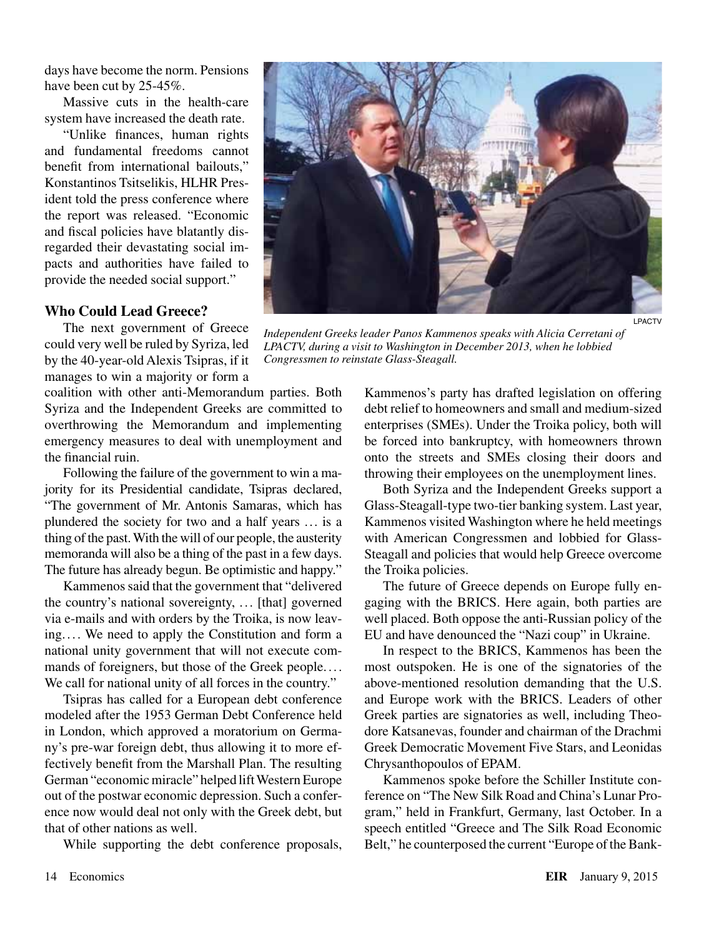days have become the norm. Pensions have been cut by 25-45%.

Massive cuts in the health-care system have increased the death rate.

"Unlike finances, human rights and fundamental freedoms cannot benefit from international bailouts," Konstantinos Tsitselikis, HLHR President told the press conference where the report was released. "Economic and fiscal policies have blatantly disregarded their devastating social impacts and authorities have failed to provide the needed social support."

## **Who Could Lead Greece?**

The next government of Greece could very well be ruled by Syriza, led by the 40-year-old Alexis Tsipras, if it manages to win a majority or form a

coalition with other anti-Memorandum parties. Both Syriza and the Independent Greeks are committed to overthrowing the Memorandum and implementing emergency measures to deal with unemployment and the financial ruin.

Following the failure of the government to win a majority for its Presidential candidate, Tsipras declared, "The government of Mr. Antonis Samaras, which has plundered the society for two and a half years ... is a thing of the past. With the will of our people, the austerity memoranda will also be a thing of the past in a few days. The future has already begun. Be optimistic and happy."

Kammenos said that the government that "delivered the country's national sovereignty, ... [that] governed via e-mails and with orders by the Troika, is now leaving. ... We need to apply the Constitution and form a national unity government that will not execute commands of foreigners, but those of the Greek people.... We call for national unity of all forces in the country."

Tsipras has called for a European debt conference modeled after the 1953 German Debt Conference held in London, which approved a moratorium on Germany's pre-war foreign debt, thus allowing it to more effectively benefit from the Marshall Plan. The resulting German "economic miracle" helped lift Western Europe out of the postwar economic depression. Such a conference now would deal not only with the Greek debt, but that of other nations as well.

While supporting the debt conference proposals,



LPACTV

**Independent Greeks leader Panos Kammenos speaks with Alicia Cerretani of** *LPACTV, during a visit to Washington in December 2013, when he lobbied Congressmen to reinstate Glass-Steagall.*

Kammenos's party has drafted legislation on offering debt relief to homeowners and small and medium-sized enterprises (SMEs). Under the Troika policy, both will be forced into bankruptcy, with homeowners thrown onto the streets and SMEs closing their doors and throwing their employees on the unemployment lines.

Both Syriza and the Independent Greeks support a Glass-Steagall-type two-tier banking system. Last year, Kammenos visited Washington where he held meetings with American Congressmen and lobbied for Glass-Steagall and policies that would help Greece overcome the Troika policies.

The future of Greece depends on Europe fully engaging with the BRICS. Here again, both parties are well placed. Both oppose the anti-Russian policy of the EU and have denounced the "Nazi coup" in Ukraine.

In respect to the BRICS, Kammenos has been the most outspoken. He is one of the signatories of the above-mentioned resolution demanding that the U.S. and Europe work with the BRICS. Leaders of other Greek parties are signatories as well, including Theodore Katsanevas, founder and chairman of the Drachmi Greek Democratic Movement Five Stars, and Leonidas Chrysanthopoulos of EPAM.

Kammenos spoke before the Schiller Institute conference on "The New Silk Road and China's Lunar Program," held in Frankfurt, Germany, last October. In a speech entitled "Greece and The Silk Road Economic Belt," he counterposed the current "Europe of the Bank